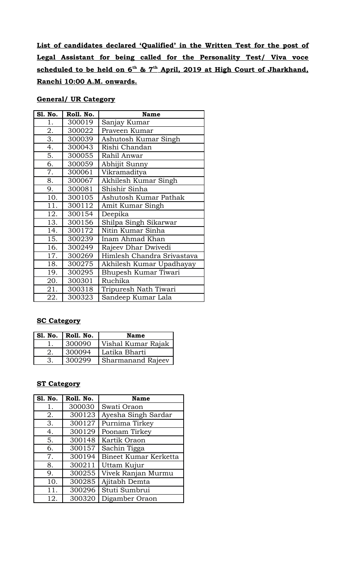**List of candidates declared 'Qualified' in the Written Test for the post of Legal Assistant for being called for the Personality Test/ Viva voce scheduled to be held on 6th & 7th April, 2019 at High Court of Jharkhand, Ranchi 10:00 A.M. onwards.**

# **General/ UR Category**

| Sl. No. | Roll. No. | <b>Name</b>                |
|---------|-----------|----------------------------|
| 1.      | 300019    | Sanjay Kumar               |
| 2.      | 300022    | Praveen Kumar              |
| 3.      | 300039    | Ashutosh Kumar Singh       |
| 4.      | 300043    | Rishi Chandan              |
| 5.      | 300055    | Rahil Anwar                |
| 6.      | 300059    | Abhijit Sunny              |
| 7.      | 300061    | Vikramaditya               |
| 8.      | 300067    | Akhilesh Kumar Singh       |
| 9.      | 300081    | Shishir Sinha              |
| 10.     | 300105    | Ashutosh Kumar Pathak      |
| 11.     | 300112    | Amit Kumar Singh           |
| 12.     | 300154    | Deepika                    |
| 13.     | 300156    | Shilpa Singh Sikarwar      |
| 14.     | 300172    | Nitin Kumar Sinha          |
| 15.     | 300239    | Inam Ahmad Khan            |
| 16.     | 300249    | Rajeev Dhar Dwivedi        |
| 17.     | 300269    | Himlesh Chandra Srivastava |
| 18.     | 300275    | Akhilesh Kumar Upadhayay   |
| 19.     | 300295    | Bhupesh Kumar Tiwari       |
| 20.     | 300301    | Ruchika                    |
| 21.     | 300318    | Tripuresh Nath Tiwari      |
| 22.     | 300323    | Sandeep Kumar Lala         |

## **SC Category**

| S1. No. | Roll. No. | <b>Name</b>        |
|---------|-----------|--------------------|
|         | 300090    | Vishal Kumar Rajak |
|         | 300094    | Latika Bharti      |
|         | 300299    | Sharmanand Rajeev  |

#### **ST Category**

| <b>S1. No.</b> | Roll. No. | <b>Name</b>           |
|----------------|-----------|-----------------------|
| 1.             | 300030    | Swati Oraon           |
| 2.             | 300123    | Ayesha Singh Sardar   |
| 3.             | 300127    | Purnima Tirkey        |
| 4.             | 300129    | Poonam Tirkey         |
| 5.             | 300148    | Kartik Oraon          |
| 6.             | 300157    | Sachin Tigga          |
| 7.             | 300194    | Bineet Kumar Kerketta |
| 8.             | 300211    | Uttam Kujur           |
| 9.             | 300255    | Vivek Ranjan Murmu    |
| 10.            | 300285    | Ajitabh Demta         |
| 11.            | 300296    | Stuti Sumbrui         |
| 12.            | 300320    | Digamber Oraon        |